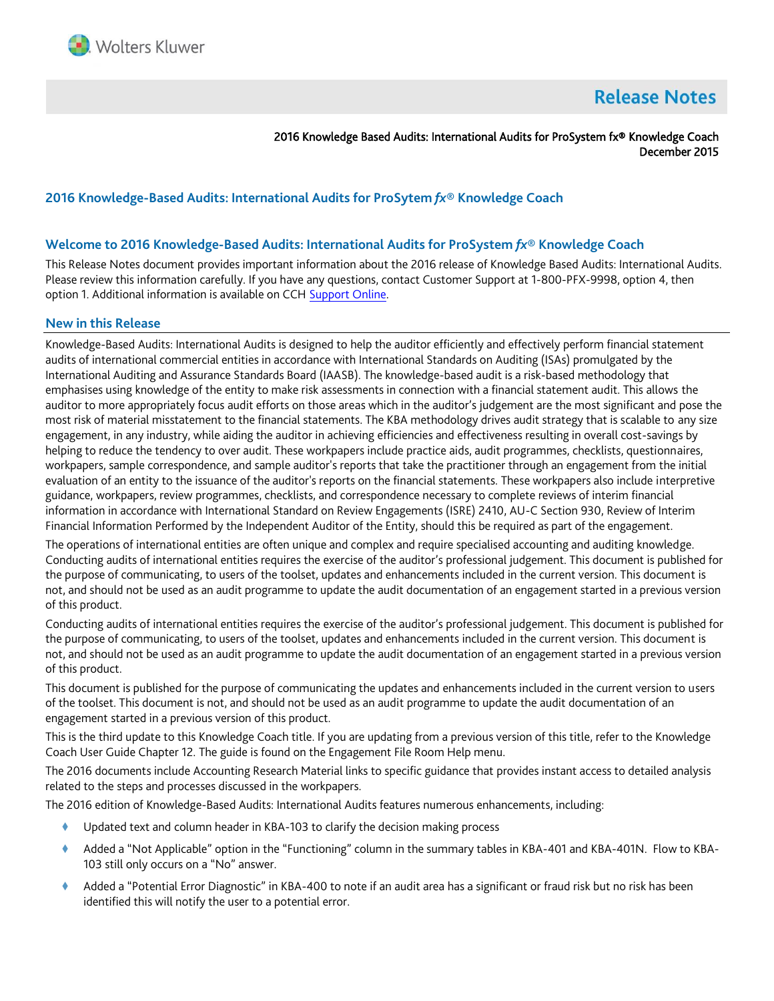

# **Release Notes**

2016 Knowledge Based Audits: International Audits for ProSystem fx® Knowledge Coach December 2015

# **2016 Knowledge-Based Audits: International Audits for ProSytem** *fx***® Knowledge Coach**

### **Welcome to 2016 Knowledge-Based Audits: International Audits for ProSystem** *fx***® Knowledge Coach**

This Release Notes document provides important information about the 2016 release of Knowledge Based Audits: International Audits. Please review this information carefully. If you have any questions, contact Customer Support at 1-800-PFX-9998, option 4, then option 1. Additional information is available on CCH [Support Online.](http://support.cch.com/productsupport/)

#### **New in this Release**

Knowledge-Based Audits: International Audits is designed to help the auditor efficiently and effectively perform financial statement audits of international commercial entities in accordance with International Standards on Auditing (ISAs) promulgated by the International Auditing and Assurance Standards Board (IAASB). The knowledge-based audit is a risk-based methodology that emphasises using knowledge of the entity to make risk assessments in connection with a financial statement audit. This allows the auditor to more appropriately focus audit efforts on those areas which in the auditor's judgement are the most significant and pose the most risk of material misstatement to the financial statements. The KBA methodology drives audit strategy that is scalable to any size engagement, in any industry, while aiding the auditor in achieving efficiencies and effectiveness resulting in overall cost-savings by helping to reduce the tendency to over audit. These workpapers include practice aids, audit programmes, checklists, questionnaires, workpapers, sample correspondence, and sample auditor's reports that take the practitioner through an engagement from the initial evaluation of an entity to the issuance of the auditor's reports on the financial statements. These workpapers also include interpretive guidance, workpapers, review programmes, checklists, and correspondence necessary to complete reviews of interim financial information in accordance with International Standard on Review Engagements (ISRE) 2410, AU-C Section 930, Review of Interim Financial Information Performed by the Independent Auditor of the Entity, should this be required as part of the engagement.

The operations of international entities are often unique and complex and require specialised accounting and auditing knowledge. Conducting audits of international entities requires the exercise of the auditor's professional judgement. This document is published for the purpose of communicating, to users of the toolset, updates and enhancements included in the current version. This document is not, and should not be used as an audit programme to update the audit documentation of an engagement started in a previous version of this product.

Conducting audits of international entities requires the exercise of the auditor's professional judgement. This document is published for the purpose of communicating, to users of the toolset, updates and enhancements included in the current version. This document is not, and should not be used as an audit programme to update the audit documentation of an engagement started in a previous version of this product.

This document is published for the purpose of communicating the updates and enhancements included in the current version to users of the toolset. This document is not, and should not be used as an audit programme to update the audit documentation of an engagement started in a previous version of this product.

This is the third update to this Knowledge Coach title. If you are updating from a previous version of this title, refer to the Knowledge Coach User Guide Chapter 12. The guide is found on the Engagement File Room Help menu.

The 2016 documents include Accounting Research Material links to specific guidance that provides instant access to detailed analysis related to the steps and processes discussed in the workpapers.

The 2016 edition of Knowledge-Based Audits: International Audits features numerous enhancements, including:

- Updated text and column header in KBA-103 to clarify the decision making process
- Added a "Not Applicable" option in the "Functioning" column in the summary tables in KBA-401 and KBA-401N. Flow to KBA-103 still only occurs on a "No" answer.
- Added a "Potential Error Diagnostic" in KBA-400 to note if an audit area has a significant or fraud risk but no risk has been identified this will notify the user to a potential error.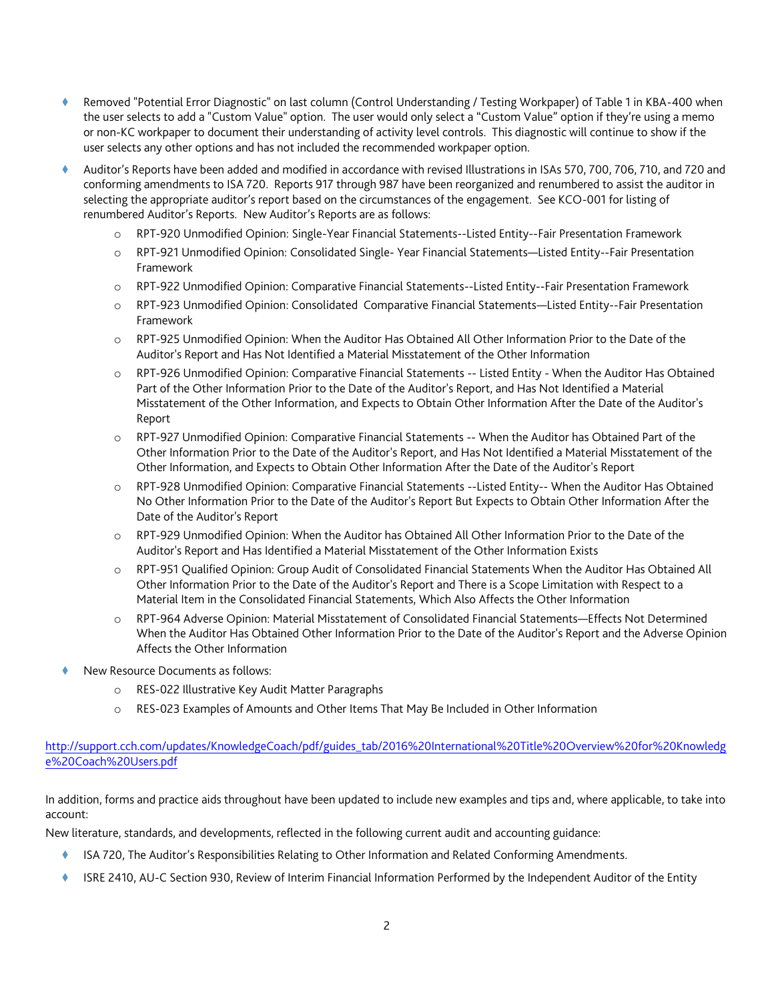- Removed "Potential Error Diagnostic" on last column (Control Understanding / Testing Workpaper) of Table 1 in KBA-400 when the user selects to add a "Custom Value" option. The user would only select a "Custom Value" option if they're using a memo or non-KC workpaper to document their understanding of activity level controls. This diagnostic will continue to show if the user selects any other options and has not included the recommended workpaper option.
- Auditor's Reports have been added and modified in accordance with revised Illustrations in ISAs 570, 700, 706, 710, and 720 and conforming amendments to ISA 720. Reports 917 through 987 have been reorganized and renumbered to assist the auditor in selecting the appropriate auditor's report based on the circumstances of the engagement. See KCO-001 for listing of renumbered Auditor's Reports. New Auditor's Reports are as follows:
	- o RPT-920 Unmodified Opinion: Single-Year Financial Statements--Listed Entity--Fair Presentation Framework
	- o RPT-921 Unmodified Opinion: Consolidated Single- Year Financial Statements—Listed Entity--Fair Presentation Framework
	- o RPT-922 Unmodified Opinion: Comparative Financial Statements--Listed Entity--Fair Presentation Framework
	- o RPT-923 Unmodified Opinion: Consolidated Comparative Financial Statements—Listed Entity--Fair Presentation Framework
	- o RPT-925 Unmodified Opinion: When the Auditor Has Obtained All Other Information Prior to the Date of the Auditor's Report and Has Not Identified a Material Misstatement of the Other Information
	- o RPT-926 Unmodified Opinion: Comparative Financial Statements -- Listed Entity When the Auditor Has Obtained Part of the Other Information Prior to the Date of the Auditor's Report, and Has Not Identified a Material Misstatement of the Other Information, and Expects to Obtain Other Information After the Date of the Auditor's Report
	- o RPT-927 Unmodified Opinion: Comparative Financial Statements -- When the Auditor has Obtained Part of the Other Information Prior to the Date of the Auditor's Report, and Has Not Identified a Material Misstatement of the Other Information, and Expects to Obtain Other Information After the Date of the Auditor's Report
	- o RPT-928 Unmodified Opinion: Comparative Financial Statements --Listed Entity-- When the Auditor Has Obtained No Other Information Prior to the Date of the Auditor's Report But Expects to Obtain Other Information After the Date of the Auditor's Report
	- o RPT-929 Unmodified Opinion: When the Auditor has Obtained All Other Information Prior to the Date of the Auditor's Report and Has Identified a Material Misstatement of the Other Information Exists
	- o RPT-951 Qualified Opinion: Group Audit of Consolidated Financial Statements When the Auditor Has Obtained All Other Information Prior to the Date of the Auditor's Report and There is a Scope Limitation with Respect to a Material Item in the Consolidated Financial Statements, Which Also Affects the Other Information
	- o RPT-964 Adverse Opinion: Material Misstatement of Consolidated Financial Statements—Effects Not Determined When the Auditor Has Obtained Other Information Prior to the Date of the Auditor's Report and the Adverse Opinion Affects the Other Information
- New Resource Documents as follows:
	- o RES-022 Illustrative Key Audit Matter Paragraphs
	- o RES-023 Examples of Amounts and Other Items That May Be Included in Other Information

## [http://support.cch.com/updates/KnowledgeCoach/pdf/guides\\_tab/2016%20International%20Title%20Overview%20for%20Knowledg](http://support.cch.com/updates/KnowledgeCoach/pdf/guides_tab/2016%20International%20Title%20Overview%20for%20Knowledge%20Coach%20Users.pdf) [e%20Coach%20Users.pdf](http://support.cch.com/updates/KnowledgeCoach/pdf/guides_tab/2016%20International%20Title%20Overview%20for%20Knowledge%20Coach%20Users.pdf)

In addition, forms and practice aids throughout have been updated to include new examples and tips and, where applicable, to take into account:

New literature, standards, and developments, reflected in the following current audit and accounting guidance:

- ISA 720, The Auditor's Responsibilities Relating to Other Information and Related Conforming Amendments.
- ISRE 2410, AU-C Section 930, Review of Interim Financial Information Performed by the Independent Auditor of the Entity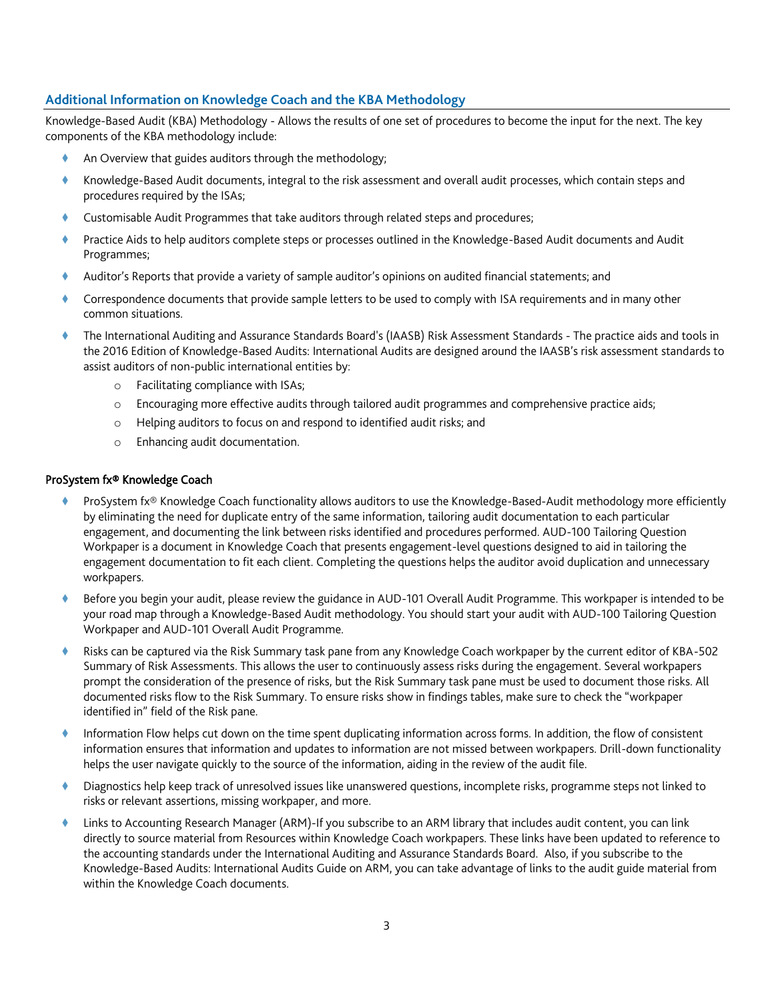# **Additional Information on Knowledge Coach and the KBA Methodology**

Knowledge-Based Audit (KBA) Methodology - Allows the results of one set of procedures to become the input for the next. The key components of the KBA methodology include:

- An Overview that guides auditors through the methodology;
- Knowledge-Based Audit documents, integral to the risk assessment and overall audit processes, which contain steps and procedures required by the ISAs;
- Customisable Audit Programmes that take auditors through related steps and procedures;
- Practice Aids to help auditors complete steps or processes outlined in the Knowledge-Based Audit documents and Audit Programmes;
- Auditor's Reports that provide a variety of sample auditor's opinions on audited financial statements; and
- Correspondence documents that provide sample letters to be used to comply with ISA requirements and in many other common situations.
- The International Auditing and Assurance Standards Board's (IAASB) Risk Assessment Standards The practice aids and tools in the 2016 Edition of Knowledge-Based Audits: International Audits are designed around the IAASB's risk assessment standards to assist auditors of non-public international entities by:
	- o Facilitating compliance with ISAs;
	- o Encouraging more effective audits through tailored audit programmes and comprehensive practice aids;
	- o Helping auditors to focus on and respond to identified audit risks; and
	- o Enhancing audit documentation.

#### ProSystem fx® Knowledge Coach

- ProSystem fx® Knowledge Coach functionality allows auditors to use the Knowledge-Based-Audit methodology more efficiently by eliminating the need for duplicate entry of the same information, tailoring audit documentation to each particular engagement, and documenting the link between risks identified and procedures performed. AUD-100 Tailoring Question Workpaper is a document in Knowledge Coach that presents engagement-level questions designed to aid in tailoring the engagement documentation to fit each client. Completing the questions helps the auditor avoid duplication and unnecessary workpapers.
- Before you begin your audit, please review the guidance in AUD-101 Overall Audit Programme. This workpaper is intended to be your road map through a Knowledge-Based Audit methodology. You should start your audit with AUD-100 Tailoring Question Workpaper and AUD-101 Overall Audit Programme.
- Risks can be captured via the Risk Summary task pane from any Knowledge Coach workpaper by the current editor of KBA-502 Summary of Risk Assessments. This allows the user to continuously assess risks during the engagement. Several workpapers prompt the consideration of the presence of risks, but the Risk Summary task pane must be used to document those risks. All documented risks flow to the Risk Summary. To ensure risks show in findings tables, make sure to check the "workpaper identified in" field of the Risk pane.
- Information Flow helps cut down on the time spent duplicating information across forms. In addition, the flow of consistent information ensures that information and updates to information are not missed between workpapers. Drill-down functionality helps the user navigate quickly to the source of the information, aiding in the review of the audit file.
- Diagnostics help keep track of unresolved issues like unanswered questions, incomplete risks, programme steps not linked to risks or relevant assertions, missing workpaper, and more.
- Links to Accounting Research Manager (ARM)-If you subscribe to an ARM library that includes audit content, you can link directly to source material from Resources within Knowledge Coach workpapers. These links have been updated to reference to the accounting standards under the International Auditing and Assurance Standards Board. Also, if you subscribe to the Knowledge-Based Audits: International Audits Guide on ARM, you can take advantage of links to the audit guide material from within the Knowledge Coach documents.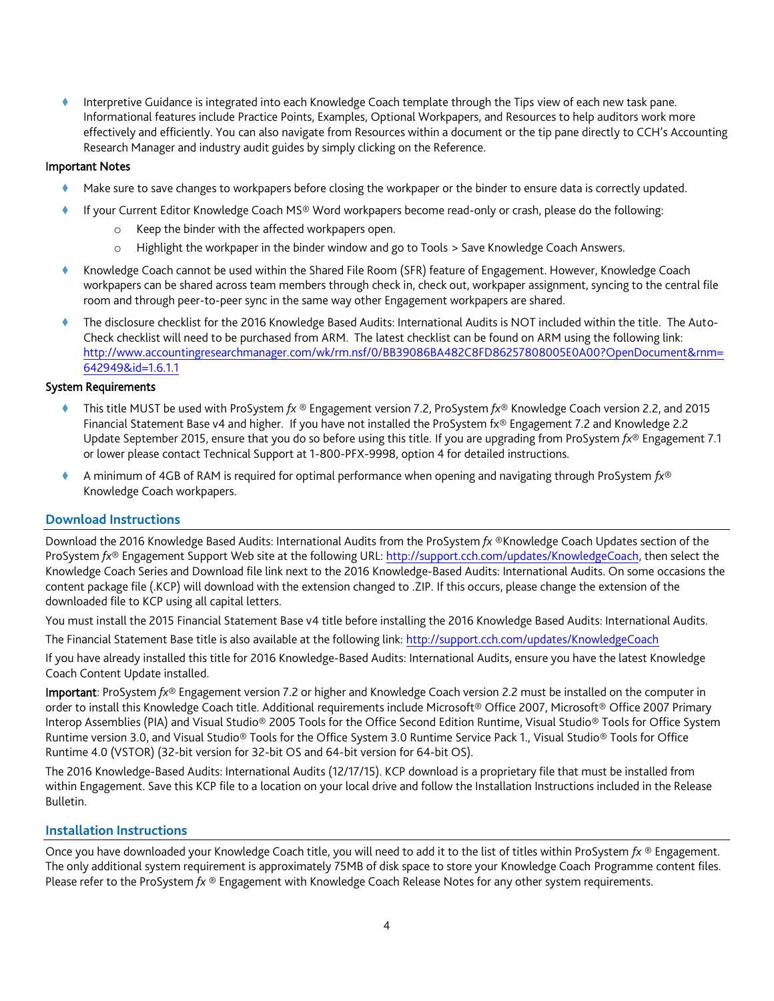Interpretive Guidance is integrated into each Knowledge Coach template through the Tips view of each new task pane. Informational features include Practice Points, Examples, Optional Workpapers, and Resources to help auditors work more effectively and efficiently. You can also navigate from Resources within a document or the tip pane directly to CCH's Accounting Research Manager and industry audit guides by simply clicking on the Reference.

### Important Notes

- Make sure to save changes to workpapers before closing the workpaper or the binder to ensure data is correctly updated.
- If your Current Editor Knowledge Coach MS® Word workpapers become read-only or crash, please do the following:
	- o Keep the binder with the affected workpapers open.
	- o Highlight the workpaper in the binder window and go to Tools > Save Knowledge Coach Answers.
- Knowledge Coach cannot be used within the Shared File Room (SFR) feature of Engagement. However, Knowledge Coach workpapers can be shared across team members through check in, check out, workpaper assignment, syncing to the central file room and through peer-to-peer sync in the same way other Engagement workpapers are shared.
- The disclosure checklist for the 2016 Knowledge Based Audits: International Audits is NOT included within the title. The Auto-Check checklist will need to be purchased from ARM. The latest checklist can be found on ARM using the following link: [http://www.accountingresearchmanager.com/wk/rm.nsf/0/BB39086BA482C8FD86257808005E0A00?OpenDocument&rnm=](http://www.accountingresearchmanager.com/wk/rm.nsf/0/BB39086BA482C8FD86257808005E0A00?OpenDocument&rnm=642949&id=1.6.1.1) [642949&id=1.6.1.1](http://www.accountingresearchmanager.com/wk/rm.nsf/0/BB39086BA482C8FD86257808005E0A00?OpenDocument&rnm=642949&id=1.6.1.1)

#### System Requirements

- This title MUST be used with ProSystem *fx* ® Engagement version 7.2, ProSystem *fx*® Knowledge Coach version 2.2, and 2015 Financial Statement Base v4 and higher. If you have not installed the ProSystem fx® Engagement 7.2 and Knowledge 2.2 Update September 2015, ensure that you do so before using this title. If you are upgrading from ProSystem *fx*® Engagement 7.1 or lower please contact Technical Support at 1-800-PFX-9998, option 4 for detailed instructions.
- A minimum of 4GB of RAM is required for optimal performance when opening and navigating through ProSystem *fx*® Knowledge Coach workpapers.

### **Download Instructions**

Download the 2016 Knowledge Based Audits: International Audits from the ProSystem *fx* ®Knowledge Coach Updates section of the ProSystem *fx*® Engagement Support Web site at the following URL[: http://support.cch.com/updates/KnowledgeCoach,](http://support.cch.com/updates/KnowledgeCoach) then select the Knowledge Coach Series and Download file link next to the 2016 Knowledge-Based Audits: International Audits. On some occasions the content package file (.KCP) will download with the extension changed to .ZIP. If this occurs, please change the extension of the downloaded file to KCP using all capital letters.

You must install the 2015 Financial Statement Base v4 title before installing the 2016 Knowledge Based Audits: International Audits.

The Financial Statement Base title is also available at the following link:<http://support.cch.com/updates/KnowledgeCoach>

If you have already installed this title for 2016 Knowledge-Based Audits: International Audits, ensure you have the latest Knowledge Coach Content Update installed.

Important: ProSystem *fx*® Engagement version 7.2 or higher and Knowledge Coach version 2.2 must be installed on the computer in order to install this Knowledge Coach title. Additional requirements include Microsoft® Office 2007, Microsoft® Office 2007 Primary Interop Assemblies (PIA) and Visual Studio® 2005 Tools for the Office Second Edition Runtime, Visual Studio® Tools for Office System Runtime version 3.0, and Visual Studio® Tools for the Office System 3.0 Runtime Service Pack 1., Visual Studio® Tools for Office Runtime 4.0 (VSTOR) (32-bit version for 32-bit OS and 64-bit version for 64-bit OS).

The 2016 Knowledge-Based Audits: International Audits (12/17/15). KCP download is a proprietary file that must be installed from within Engagement. Save this KCP file to a location on your local drive and follow the Installation Instructions included in the Release Bulletin.

### **Installation Instructions**

Once you have downloaded your Knowledge Coach title, you will need to add it to the list of titles within ProSystem *fx* ® Engagement. The only additional system requirement is approximately 75MB of disk space to store your Knowledge Coach Programme content files. Please refer to the ProSystem *fx* ® Engagement with Knowledge Coach Release Notes for any other system requirements.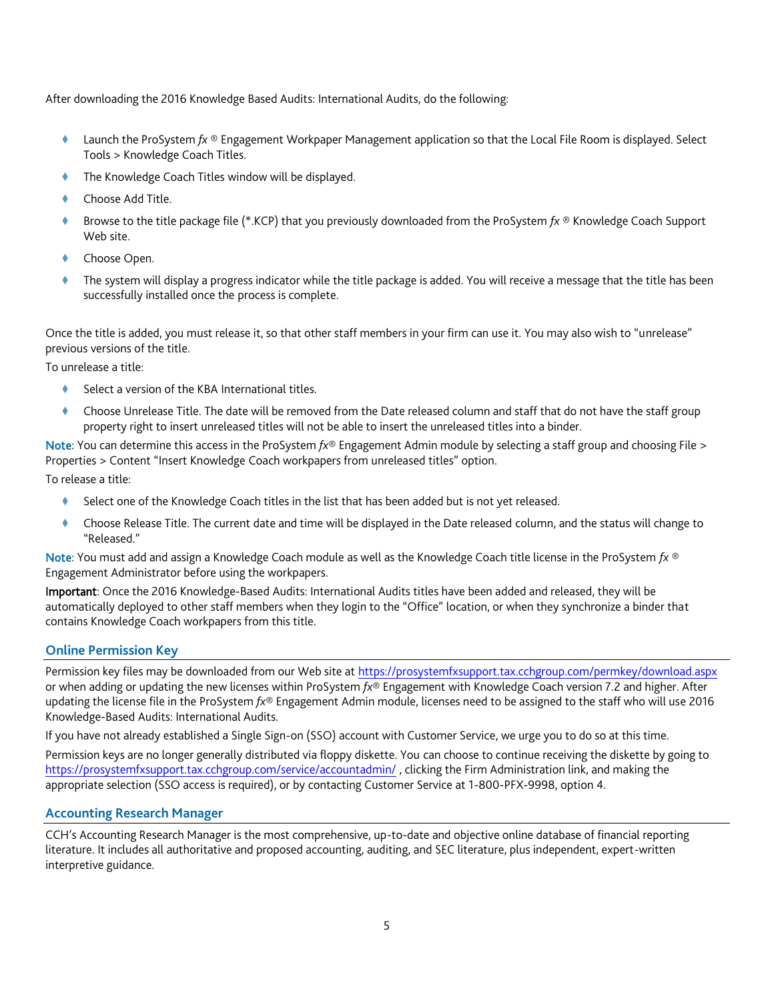After downloading the 2016 Knowledge Based Audits: International Audits, do the following:

- Launch the ProSystem *fx* ® Engagement Workpaper Management application so that the Local File Room is displayed. Select Tools > Knowledge Coach Titles.
- The Knowledge Coach Titles window will be displayed.
- Choose Add Title.
- Browse to the title package file (\*.KCP) that you previously downloaded from the ProSystem *fx* ® Knowledge Coach Support Web site.
- Choose Open.
- The system will display a progress indicator while the title package is added. You will receive a message that the title has been successfully installed once the process is complete.

Once the title is added, you must release it, so that other staff members in your firm can use it. You may also wish to "unrelease" previous versions of the title.

To unrelease a title:

- Select a version of the KBA International titles.
- Choose Unrelease Title. The date will be removed from the Date released column and staff that do not have the staff group property right to insert unreleased titles will not be able to insert the unreleased titles into a binder.

Note: You can determine this access in the ProSystem *fx*® Engagement Admin module by selecting a staff group and choosing File > Properties > Content "Insert Knowledge Coach workpapers from unreleased titles" option.

To release a title:

- Select one of the Knowledge Coach titles in the list that has been added but is not yet released.
- Choose Release Title. The current date and time will be displayed in the Date released column, and the status will change to "Released."

Note: You must add and assign a Knowledge Coach module as well as the Knowledge Coach title license in the ProSystem *fx* ® Engagement Administrator before using the workpapers.

Important: Once the 2016 Knowledge-Based Audits: International Audits titles have been added and released, they will be automatically deployed to other staff members when they login to the "Office" location, or when they synchronize a binder that contains Knowledge Coach workpapers from this title.

# **Online Permission Key**

Permission key files may be downloaded from our Web site a[t https://prosystemfxsupport.tax.cchgroup.com/permkey/download.aspx](https://prosystemfxsupport.tax.cchgroup.com/permkey/download.aspx)  or when adding or updating the new licenses within ProSystem *fx*® Engagement with Knowledge Coach version 7.2 and higher. After updating the license file in the ProSystem *fx*® Engagement Admin module, licenses need to be assigned to the staff who will use 2016 Knowledge-Based Audits: International Audits.

If you have not already established a Single Sign-on (SSO) account with Customer Service, we urge you to do so at this time.

Permission keys are no longer generally distributed via floppy diskette. You can choose to continue receiving the diskette by going to <https://prosystemfxsupport.tax.cchgroup.com/service/accountadmin/> , clicking the Firm Administration link, and making the appropriate selection (SSO access is required), or by contacting Customer Service at 1-800-PFX-9998, option 4.

### **Accounting Research Manager**

CCH's Accounting Research Manager is the most comprehensive, up-to-date and objective online database of financial reporting literature. It includes all authoritative and proposed accounting, auditing, and SEC literature, plus independent, expert-written interpretive guidance.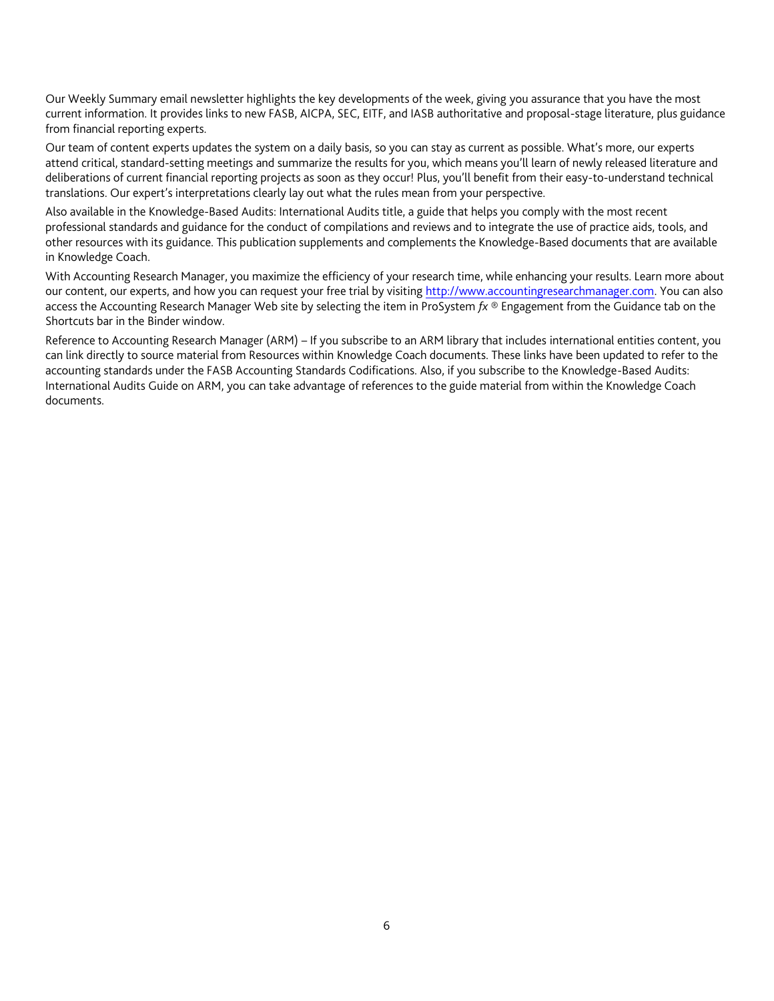Our Weekly Summary email newsletter highlights the key developments of the week, giving you assurance that you have the most current information. It provides links to new FASB, AICPA, SEC, EITF, and IASB authoritative and proposal-stage literature, plus guidance from financial reporting experts.

Our team of content experts updates the system on a daily basis, so you can stay as current as possible. What's more, our experts attend critical, standard-setting meetings and summarize the results for you, which means you'll learn of newly released literature and deliberations of current financial reporting projects as soon as they occur! Plus, you'll benefit from their easy-to-understand technical translations. Our expert's interpretations clearly lay out what the rules mean from your perspective.

Also available in the Knowledge-Based Audits: International Audits title, a guide that helps you comply with the most recent professional standards and guidance for the conduct of compilations and reviews and to integrate the use of practice aids, tools, and other resources with its guidance. This publication supplements and complements the Knowledge-Based documents that are available in Knowledge Coach.

With Accounting Research Manager, you maximize the efficiency of your research time, while enhancing your results. Learn more about our content, our experts, and how you can request your free trial by visiting [http://www.accountingresearchmanager.com.](http://www.accountingresearchmanager.com/) You can also access the Accounting Research Manager Web site by selecting the item in ProSystem *fx* ® Engagement from the Guidance tab on the Shortcuts bar in the Binder window.

Reference to Accounting Research Manager (ARM) – If you subscribe to an ARM library that includes international entities content, you can link directly to source material from Resources within Knowledge Coach documents. These links have been updated to refer to the accounting standards under the FASB Accounting Standards Codifications. Also, if you subscribe to the Knowledge-Based Audits: International Audits Guide on ARM, you can take advantage of references to the guide material from within the Knowledge Coach documents.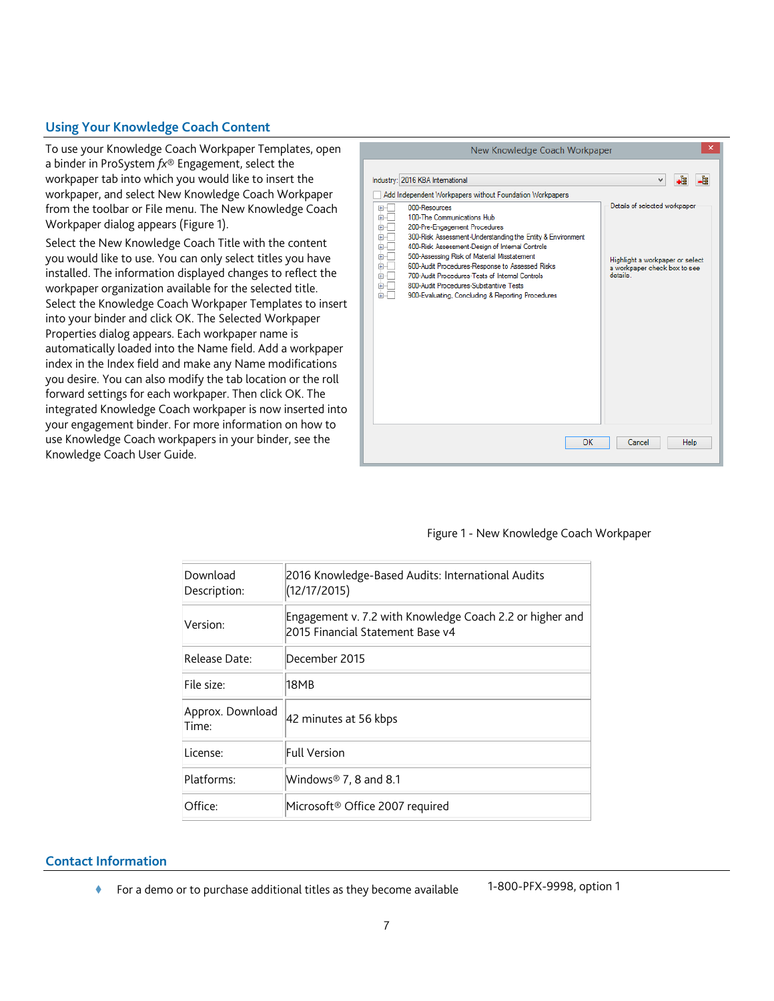# **Using Your Knowledge Coach Content**

To use your Knowledge Coach Workpaper Templates, open a binder in ProSystem *fx*® Engagement, select the workpaper tab into which you would like to insert the workpaper, and select New Knowledge Coach Workpaper from the toolbar or File menu. The New Knowledge Coach Workpaper dialog appears (Figure 1).

Select the New Knowledge Coach Title with the content you would like to use. You can only select titles you have installed. The information displayed changes to reflect the workpaper organization available for the selected title. Select the Knowledge Coach Workpaper Templates to insert into your binder and click OK. The Selected Workpaper Properties dialog appears. Each workpaper name is automatically loaded into the Name field. Add a workpaper index in the Index field and make any Name modifications you desire. You can also modify the tab location or the roll forward settings for each workpaper. Then click OK. The integrated Knowledge Coach workpaper is now inserted into your engagement binder. For more information on how to use Knowledge Coach workpapers in your binder, see the Knowledge Coach User Guide.



#### Figure 1 - New Knowledge Coach Workpaper

| Download<br>Description:  | 2016 Knowledge-Based Audits: International Audits<br>(12/17/2015)                            |
|---------------------------|----------------------------------------------------------------------------------------------|
| Version:                  | Engagement v. 7.2 with Knowledge Coach 2.2 or higher and<br>2015 Financial Statement Base v4 |
| Release Date:             | December 2015                                                                                |
| File size:                | 18MB                                                                                         |
| Approx. Download<br>Time: | 42 minutes at 56 kbps                                                                        |
| License:                  | Full Version                                                                                 |
| Platforms:                | Windows® 7, 8 and 8.1                                                                        |
| Office:                   | Microsoft® Office 2007 required                                                              |

#### **Contact Information**

◆ For a demo or to purchase additional titles as they become available 1-800-PFX-9998, option 1